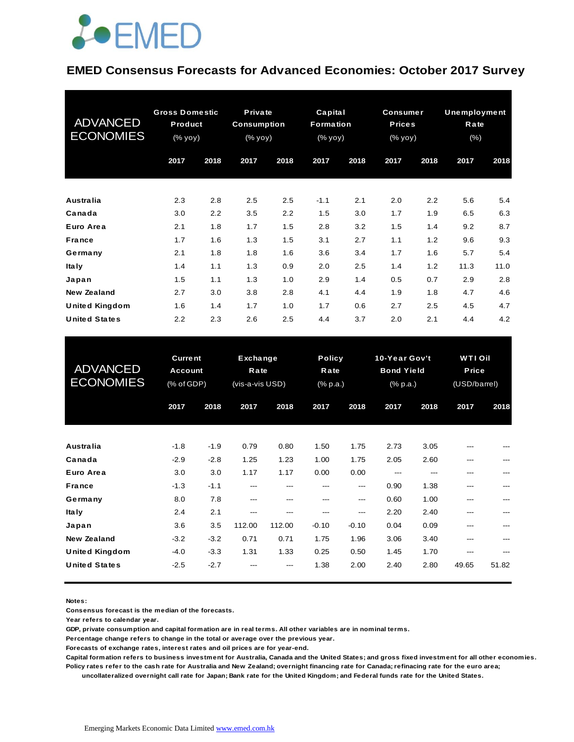

#### **EMED Consensus Forecasts for Advanced Economies: October 2017 Survey**

| <b>ADVANCED</b><br><b>ECONOMIES</b> | <b>Gross Domestic</b><br>Product<br>(% yoy) |      | Private<br><b>Consumption</b><br>(% yoy) |      | Capital<br>Formation<br>(% yoy) |      | <b>Consumer</b><br><b>Prices</b><br>(% yoy) |      | <b>Unemployment</b><br>Rate<br>$(\% )$ |      |
|-------------------------------------|---------------------------------------------|------|------------------------------------------|------|---------------------------------|------|---------------------------------------------|------|----------------------------------------|------|
|                                     | 2017                                        | 2018 | 2017                                     | 2018 | 2017                            | 2018 | 2017                                        | 2018 | 2017                                   | 2018 |
| <b>Australia</b>                    | 2.3                                         | 2.8  | 2.5                                      | 2.5  | $-1.1$                          | 2.1  | 2.0                                         | 2.2  | 5.6                                    | 5.4  |
| Canada                              | 3.0                                         | 2.2  | 3.5                                      | 2.2  | 1.5                             | 3.0  | 1.7                                         | 1.9  | 6.5                                    | 6.3  |
| Euro Area                           | 2.1                                         | 1.8  | 1.7                                      | 1.5  | 2.8                             | 3.2  | 1.5                                         | 1.4  | 9.2                                    | 8.7  |
| <b>France</b>                       | 1.7                                         | 1.6  | 1.3                                      | 1.5  | 3.1                             | 2.7  | 1.1                                         | 1.2  | 9.6                                    | 9.3  |
| Germany                             | 2.1                                         | 1.8  | 1.8                                      | 1.6  | 3.6                             | 3.4  | 1.7                                         | 1.6  | 5.7                                    | 5.4  |
| <b>Italy</b>                        | 1.4                                         | 1.1  | 1.3                                      | 0.9  | 2.0                             | 2.5  | 1.4                                         | 1.2  | 11.3                                   | 11.0 |
| Japan                               | 1.5                                         | 1.1  | 1.3                                      | 1.0  | 2.9                             | 1.4  | 0.5                                         | 0.7  | 2.9                                    | 2.8  |
| <b>New Zealand</b>                  | 2.7                                         | 3.0  | 3.8                                      | 2.8  | 4.1                             | 4.4  | 1.9                                         | 1.8  | 4.7                                    | 4.6  |
| <b>United Kingdom</b>               | 1.6                                         | 1.4  | 1.7                                      | 1.0  | 1.7                             | 0.6  | 2.7                                         | 2.5  | 4.5                                    | 4.7  |
| <b>United States</b>                | $2.2\,$                                     | 2.3  | 2.6                                      | 2.5  | 4.4                             | 3.7  | 2.0                                         | 2.1  | 4.4                                    | 4.2  |

| <b>United States</b>                        | 2.2                                            | 2.3              | 2.6                                 | 2.5          | 4.4                               | 3.7          | 2.0                                                               | 2.1          | 4.4                                           | 4.2   |
|---------------------------------------------|------------------------------------------------|------------------|-------------------------------------|--------------|-----------------------------------|--------------|-------------------------------------------------------------------|--------------|-----------------------------------------------|-------|
| <b>ADVANCED</b><br><b>ECONOMIES</b>         | <b>Current</b><br><b>Account</b><br>(% of GDP) |                  | Exchange<br>Rate<br>(vis-a-vis USD) |              | <b>Policy</b><br>Rate<br>(% p.a.) |              | 10-Year Gov't<br><b>Bond Yield</b><br>$(% \mathbb{R}^2)$ (% p.a.) |              | <b>WTIOII</b><br><b>Price</b><br>(USD/barrel) |       |
|                                             | 2017                                           | 2018             | 2017                                | 2018         | 2017                              | 2018         | 2017                                                              | 2018         | 2017                                          | 2018  |
| <b>Australia</b>                            | $-1.8$                                         | $-1.9$           | 0.79                                | 0.80         | 1.50                              | 1.75         | 2.73                                                              | 3.05         |                                               |       |
| Canada<br>Euro Area                         | $-2.9$<br>3.0                                  | $-2.8$<br>3.0    | 1.25<br>1.17                        | 1.23<br>1.17 | 1.00<br>0.00                      | 1.75<br>0.00 | 2.05<br>---                                                       | 2.60<br>---  | ---<br>---                                    |       |
| <b>France</b>                               | $-1.3$                                         | $-1.1$           | ---                                 | ---          | ---                               | ---          | 0.90                                                              | 1.38         | ---                                           | ---   |
| Germany<br>Ita ly                           | 8.0<br>2.4                                     | 7.8<br>2.1       | ---<br>---                          | ---<br>---   | ---<br>---                        | ---<br>---   | 0.60<br>2.20                                                      | 1.00<br>2.40 | ---<br>---                                    | ---   |
| Japan                                       | 3.6                                            | 3.5              | 112.00                              | 112.00       | $-0.10$                           | $-0.10$      | 0.04                                                              | 0.09         | ---                                           | ---   |
| <b>New Zealand</b><br><b>United Kingdom</b> | $-3.2$<br>$-4.0$                               | $-3.2$<br>$-3.3$ | 0.71<br>1.31                        | 0.71<br>1.33 | 1.75<br>0.25                      | 1.96<br>0.50 | 3.06<br>1.45                                                      | 3.40<br>1.70 | ---                                           |       |
| <b>United States</b>                        | $-2.5$                                         | $-2.7$           |                                     |              | 1.38                              | 2.00         | 2.40                                                              | 2.80         | 49.65                                         | 51.82 |
|                                             |                                                |                  |                                     |              |                                   |              |                                                                   |              |                                               |       |

**Notes:** 

**Consensus forecast is the median of the forecasts.**

**Year refers to calendar year.**

**GDP, private consumption and capital formation are in real terms. All other variables are in nominal terms.**

**Percentage change refers to change in the total or average over the previous year.**

**Forecasts of exchange rates, interest rates and oil prices are for year-end.**

**Capital formation refers to business investment for Australia, Canada and the United States; and gross fixed investment for all other economies.**

**Policy rates refer to the cash rate for Australia and New Zealand; overnight financing rate for Canada; refinacing rate for the euro area; uncollateralized overnight call rate for Japan; Bank rate for the United Kingdom; and Federal funds rate for the United States.**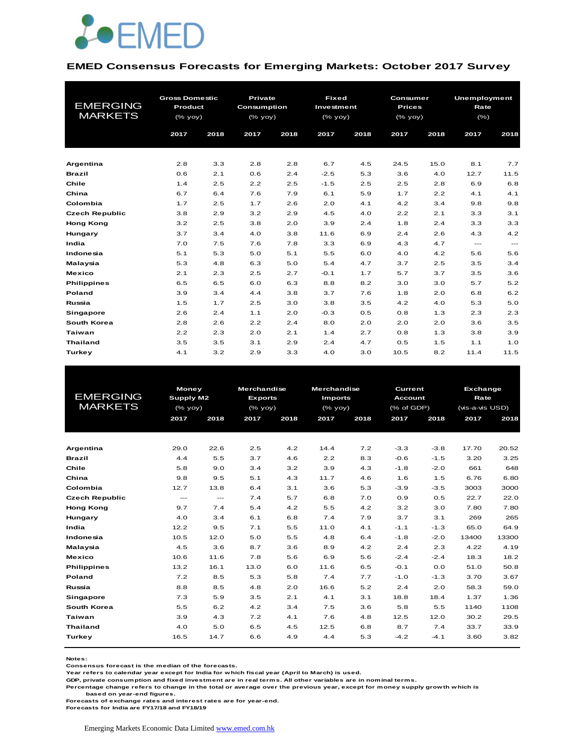

#### **EMED Consensus Forecasts for Emerging Markets: October 2017 Survey**

|                       | <b>Gross Domestic</b> |      | <b>Private</b>     |      | <b>Fixed</b>       |      |               | Consumer |         | Unemployment |  |
|-----------------------|-----------------------|------|--------------------|------|--------------------|------|---------------|----------|---------|--------------|--|
| <b>EMERGING</b>       | Product               |      | <b>Consumption</b> |      | Investment         |      | <b>Prices</b> |          | Rate    |              |  |
| <b>MARKETS</b>        | $(%$ (% yoy)          |      | (% yoy)            |      | $(%$ $(y_0, y_0),$ |      | (% yoy)       |          | $(\% )$ |              |  |
|                       |                       |      |                    |      |                    |      |               |          |         |              |  |
|                       | 2017                  | 2018 | 2017               | 2018 | 2017               | 2018 | 2017          | 2018     | 2017    | 2018         |  |
|                       |                       |      |                    |      |                    |      |               |          |         |              |  |
| Argentina             | 2.8                   | 3.3  | 2.8                | 2.8  | 6.7                | 4.5  | 24.5          | 15.0     | 8.1     | 7.7          |  |
| <b>Brazil</b>         | 0.6                   | 2.1  | 0.6                | 2.4  | $-2.5$             | 5.3  | 3.6           | 4.0      | 12.7    | 11.5         |  |
| Chile                 | 1.4                   | 2.5  | 2.2                | 2.5  | $-1.5$             | 2.5  | 2.5           | 2.8      | 6.9     | 6.8          |  |
| China                 | 6.7                   | 6.4  | 7.6                | 7.9  | 6.1                | 5.9  | 1.7           | 2.2      | 4.1     | 4.1          |  |
| Colombia              | 1.7                   | 2.5  | 1.7                | 2.6  | 2.0                | 4.1  | 4.2           | 3.4      | 9.8     | 9.8          |  |
| <b>Czech Republic</b> | 3.8                   | 2.9  | 3.2                | 2.9  | 4.5                | 4.0  | 2.2           | 2.1      | 3.3     | 3.1          |  |
| <b>Hong Kong</b>      | 3.2                   | 2.5  | 3.8                | 2.0  | 3.9                | 2.4  | 1.8           | 2.4      | 3.3     | 3.3          |  |
| Hungary               | 3.7                   | 3.4  | 4.0                | 3.8  | 11.6               | 6.9  | 2.4           | 2.6      | 4.3     | 4.2          |  |
| India                 | 7.0                   | 7.5  | 7.6                | 7.8  | 3.3                | 6.9  | 4.3           | 4.7      | $---$   | $---$        |  |
| Indonesia             | 5.1                   | 5.3  | 5.0                | 5.1  | 5.5                | 6.0  | 4.0           | 4.2      | 5.6     | 5.6          |  |
| Malaysia              | 5.3                   | 4.8  | 6.3                | 5.0  | 5.4                | 4.7  | 3.7           | 2.5      | 3.5     | 3.4          |  |
| <b>Mexico</b>         | 2.1                   | 2.3  | 2.5                | 2.7  | $-0.1$             | 1.7  | 5.7           | 3.7      | 3.5     | 3.6          |  |
| <b>Philippines</b>    | 6.5                   | 6.5  | 6.0                | 6.3  | 8.8                | 8.2  | 3.0           | 3.0      | 5.7     | 5.2          |  |
| Poland                | 3.9                   | 3.4  | 4.4                | 3.8  | 3.7                | 7.6  | 1.8           | 2.0      | 6.8     | 6.2          |  |
| Russia                | 1.5                   | 1.7  | 2.5                | 3.0  | 3.8                | 3.5  | 4.2           | 4.0      | 5.3     | 5.0          |  |
| <b>Singapore</b>      | 2.6                   | 2.4  | 1.1                | 2.0  | $-0.3$             | 0.5  | 0.8           | 1.3      | 2.3     | 2.3          |  |
| South Korea           | 2.8                   | 2.6  | 2.2                | 2.4  | 8.0                | 2.0  | 2.0           | 2.0      | 3.6     | 3.5          |  |
| Taiwan                | 2.2                   | 2.3  | 2.0                | 2.1  | 1.4                | 2.7  | 0.8           | 1.3      | 3.8     | 3.9          |  |
| <b>Thailand</b>       | 3.5                   | 3.5  | 3.1                | 2.9  | 2.4                | 4.7  | 0.5           | 1.5      | 1.1     | 1.0          |  |
| Turkey                | 4.1                   | 3.2  | 2.9                | 3.3  | 4.0                | 3.0  | 10.5          | 8.2      | 11.4    | 11.5         |  |

|                       | <b>Money</b>              |          | <b>Merchandise</b> |      | <b>Merchandise</b> |      | Current        |        | <b>Exchange</b> |       |
|-----------------------|---------------------------|----------|--------------------|------|--------------------|------|----------------|--------|-----------------|-------|
| <b>EMERGING</b>       | <b>Supply M2</b>          |          | <b>Exports</b>     |      | <b>Imports</b>     |      | <b>Account</b> |        | Rate            |       |
| <b>MARKETS</b>        | $(%$ (% yoy)              |          | $(%$ (% yoy)       |      | $(\%$ yoy)         |      | (% of GDP)     |        | (vis-a-vis USD) |       |
|                       | 2017                      | 2018     | 2017               | 2018 | 2017               | 2018 | 2017           | 2018   | 2017            | 2018  |
|                       |                           |          |                    |      |                    |      |                |        |                 |       |
| Argentina             | 29.0                      | 22.6     | 2.5                | 4.2  | 14.4               | 7.2  | $-3.3$         | $-3.8$ | 17.70           | 20.52 |
| <b>Brazil</b>         | 4.4                       | 5.5      | 3.7                | 4.6  | 2.2                | 8.3  | $-0.6$         | $-1.5$ | 3.20            | 3.25  |
| Chile                 | 5.8                       | 9.0      | 3.4                | 3.2  | 3.9                | 4.3  | $-1.8$         | $-2.0$ | 661             | 648   |
| China                 | 9.8                       | 9.5      | 5.1                | 4.3  | 11.7               | 4.6  | 1.6            | 1.5    | 6.76            | 6.80  |
| Colombia              | 12.7                      | 13.8     | 6.4                | 3.1  | 3.6                | 5.3  | $-3.9$         | $-3.5$ | 3003            | 3000  |
| <b>Czech Republic</b> | $\qquad \qquad -\qquad -$ | $\cdots$ | 7.4                | 5.7  | 6.8                | 7.0  | 0.9            | 0.5    | 22.7            | 22.0  |
| <b>Hong Kong</b>      | 9.7                       | 7.4      | 5.4                | 4.2  | 5.5                | 4.2  | 3.2            | 3.0    | 7.80            | 7.80  |
| Hungary               | 4.0                       | 3.4      | 6.1                | 6.8  | 7.4                | 7.9  | 3.7            | 3.1    | 269             | 265   |
| India                 | 12.2                      | 9.5      | 7.1                | 5.5  | 11.0               | 4.1  | $-1.1$         | $-1.3$ | 65.0            | 64.9  |
| Indonesia             | 10.5                      | 12.0     | 5.0                | 5.5  | 4.8                | 6.4  | $-1.8$         | $-2.0$ | 13400           | 13300 |
| Malaysia              | 4.5                       | 3.6      | 8.7                | 3.6  | 8.9                | 4.2  | 2.4            | 2.3    | 4.22            | 4.19  |
| <b>Mexico</b>         | 10.6                      | 11.6     | 7.8                | 5.6  | 6.9                | 5.6  | $-2.4$         | $-2.4$ | 18.3            | 18.2  |
| <b>Philippines</b>    | 13.2                      | 16.1     | 13.0               | 6.0  | 11.6               | 6.5  | $-0.1$         | 0.0    | 51.0            | 50.8  |
| Poland                | 7.2                       | 8.5      | 5.3                | 5.8  | 7.4                | 7.7  | $-1.0$         | $-1.3$ | 3.70            | 3.67  |
| Russia                | 8.8                       | 8.5      | 4.8                | 2.0  | 16.6               | 5.2  | 2.4            | 2.0    | 58.3            | 59.0  |
| Singapore             | 7.3                       | 5.9      | 3.5                | 2.1  | 4.1                | 3.1  | 18.8           | 18.4   | 1.37            | 1.36  |
| South Korea           | 5.5                       | 6.2      | 4.2                | 3.4  | 7.5                | 3.6  | 5.8            | 5.5    | 1140            | 1108  |
| Taiwan                | 3.9                       | 4.3      | 7.2                | 4.1  | 7.6                | 4.8  | 12.5           | 12.0   | 30.2            | 29.5  |
| <b>Thailand</b>       | 4.0                       | 5.0      | 6.5                | 4.5  | 12.5               | 6.8  | 8.7            | 7.4    | 33.7            | 33.9  |
| Turkey                | 16.5                      | 14.7     | 6.6                | 4.9  | 4.4                | 5.3  | $-4.2$         | $-4.1$ | 3.60            | 3.82  |
|                       |                           |          |                    |      |                    |      |                |        |                 |       |

**Notes:** 

**Consensus forecast is the median of the forecasts.**

**Year refers to calendar year except for India for which fiscal year (April to March) is used.**

**GDP, private consumption and fixed investment are in real terms. All other variables are in nominal terms.**

**Percentage change refers to change in the total or average over the previous year, except for money supply growth which is** 

 **based on year-end figures.**

**Forecasts of exchange rates and interest rates are for year-end. Forecasts for India are FY17/18 and FY18/19**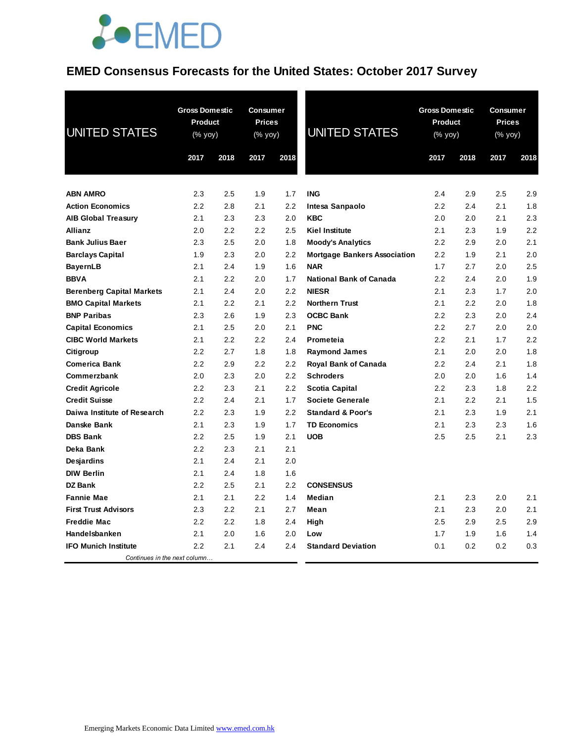### **EMED Consensus Forecasts for the United States: October 2017 Survey**

| <b>UNITED STATES</b>             | <b>Gross Domestic</b><br>Product<br>$(% \overline{y}$ (% yoy) |      | <b>Consumer</b><br><b>Prices</b><br>(% yoy) |      | <b>UNITED STATES</b>                | <b>Gross Domestic</b><br><b>Product</b><br>$(% \mathsf{Y}^{\prime }\mathsf{Y}^{\prime }\mathsf{Y}^{\prime })$ |      | <b>Consumer</b><br><b>Prices</b><br>(% yoy) |      |
|----------------------------------|---------------------------------------------------------------|------|---------------------------------------------|------|-------------------------------------|---------------------------------------------------------------------------------------------------------------|------|---------------------------------------------|------|
|                                  | 2017                                                          | 2018 | 2017                                        | 2018 |                                     | 2017                                                                                                          | 2018 | 2017                                        | 2018 |
|                                  |                                                               |      |                                             |      |                                     |                                                                                                               |      |                                             |      |
| <b>ABN AMRO</b>                  | 2.3                                                           | 2.5  | 1.9                                         | 1.7  | <b>ING</b>                          | 2.4                                                                                                           | 2.9  | 2.5                                         | 2.9  |
| <b>Action Economics</b>          | 2.2                                                           | 2.8  | 2.1                                         | 2.2  | Intesa Sanpaolo                     | 2.2                                                                                                           | 2.4  | 2.1                                         | 1.8  |
| <b>AIB Global Treasury</b>       | 2.1                                                           | 2.3  | 2.3                                         | 2.0  | <b>KBC</b>                          | 2.0                                                                                                           | 2.0  | 2.1                                         | 2.3  |
| Allianz                          | 2.0                                                           | 2.2  | 2.2                                         | 2.5  | Kiel Institute                      | 2.1                                                                                                           | 2.3  | 1.9                                         | 2.2  |
| <b>Bank Julius Baer</b>          | 2.3                                                           | 2.5  | 2.0                                         | 1.8  | <b>Moody's Analytics</b>            | 2.2                                                                                                           | 2.9  | 2.0                                         | 2.1  |
| <b>Barclays Capital</b>          | 1.9                                                           | 2.3  | 2.0                                         | 2.2  | <b>Mortgage Bankers Association</b> | 2.2                                                                                                           | 1.9  | 2.1                                         | 2.0  |
| <b>BayernLB</b>                  | 2.1                                                           | 2.4  | 1.9                                         | 1.6  | <b>NAR</b>                          | 1.7                                                                                                           | 2.7  | 2.0                                         | 2.5  |
| <b>BBVA</b>                      | 2.1                                                           | 2.2  | 2.0                                         | 1.7  | <b>National Bank of Canada</b>      | 2.2                                                                                                           | 2.4  | 2.0                                         | 1.9  |
| <b>Berenberg Capital Markets</b> | 2.1                                                           | 2.4  | 2.0                                         | 2.2  | <b>NIESR</b>                        | 2.1                                                                                                           | 2.3  | 1.7                                         | 2.0  |
| <b>BMO Capital Markets</b>       | 2.1                                                           | 2.2  | 2.1                                         | 2.2  | <b>Northern Trust</b>               | 2.1                                                                                                           | 2.2  | 2.0                                         | 1.8  |
| <b>BNP Paribas</b>               | 2.3                                                           | 2.6  | 1.9                                         | 2.3  | <b>OCBC Bank</b>                    | 2.2                                                                                                           | 2.3  | 2.0                                         | 2.4  |
| <b>Capital Economics</b>         | 2.1                                                           | 2.5  | 2.0                                         | 2.1  | <b>PNC</b>                          | 2.2                                                                                                           | 2.7  | 2.0                                         | 2.0  |
| <b>CIBC World Markets</b>        | 2.1                                                           | 2.2  | 2.2                                         | 2.4  | Prometeia                           | 2.2                                                                                                           | 2.1  | 1.7                                         | 2.2  |
| Citigroup                        | 2.2                                                           | 2.7  | 1.8                                         | 1.8  | <b>Raymond James</b>                | 2.1                                                                                                           | 2.0  | 2.0                                         | 1.8  |
| <b>Comerica Bank</b>             | 2.2                                                           | 2.9  | 2.2                                         | 2.2  | Royal Bank of Canada                | 2.2                                                                                                           | 2.4  | 2.1                                         | 1.8  |
| Commerzbank                      | 2.0                                                           | 2.3  | 2.0                                         | 2.2  | <b>Schroders</b>                    | 2.0                                                                                                           | 2.0  | 1.6                                         | 1.4  |
| <b>Credit Agricole</b>           | 2.2                                                           | 2.3  | 2.1                                         | 2.2  | Scotia Capital                      | 2.2                                                                                                           | 2.3  | 1.8                                         | 2.2  |
| <b>Credit Suisse</b>             | 2.2                                                           | 2.4  | 2.1                                         | 1.7  | <b>Societe Generale</b>             | 2.1                                                                                                           | 2.2  | 2.1                                         | 1.5  |
| Daiwa Institute of Research      | 2.2                                                           | 2.3  | 1.9                                         | 2.2  | <b>Standard &amp; Poor's</b>        | 2.1                                                                                                           | 2.3  | 1.9                                         | 2.1  |
| <b>Danske Bank</b>               | 2.1                                                           | 2.3  | 1.9                                         | 1.7  | <b>TD Economics</b>                 | 2.1                                                                                                           | 2.3  | 2.3                                         | 1.6  |
| <b>DBS Bank</b>                  | 2.2                                                           | 2.5  | 1.9                                         | 2.1  | <b>UOB</b>                          | 2.5                                                                                                           | 2.5  | 2.1                                         | 2.3  |
| Deka Bank                        | 2.2                                                           | 2.3  | 2.1                                         | 2.1  |                                     |                                                                                                               |      |                                             |      |
| Desjardins                       | 2.1                                                           | 2.4  | 2.1                                         | 2.0  |                                     |                                                                                                               |      |                                             |      |
| <b>DIW Berlin</b>                | 2.1                                                           | 2.4  | 1.8                                         | 1.6  |                                     |                                                                                                               |      |                                             |      |
| DZ Bank                          | 2.2                                                           | 2.5  | 2.1                                         | 2.2  | <b>CONSENSUS</b>                    |                                                                                                               |      |                                             |      |
| <b>Fannie Mae</b>                | 2.1                                                           | 2.1  | $2.2\,$                                     | 1.4  | Median                              | 2.1                                                                                                           | 2.3  | 2.0                                         | 2.1  |
| <b>First Trust Advisors</b>      | 2.3                                                           | 2.2  | 2.1                                         | 2.7  | Mean                                | 2.1                                                                                                           | 2.3  | 2.0                                         | 2.1  |
| <b>Freddie Mac</b>               | 2.2                                                           | 2.2  | 1.8                                         | 2.4  | High                                | 2.5                                                                                                           | 2.9  | 2.5                                         | 2.9  |
| Handelsbanken                    | 2.1                                                           | 2.0  | 1.6                                         | 2.0  | Low                                 | 1.7                                                                                                           | 1.9  | 1.6                                         | 1.4  |
| <b>IFO Munich Institute</b>      | 2.2                                                           | 2.1  | 2.4                                         | 2.4  | <b>Standard Deviation</b>           | 0.1                                                                                                           | 0.2  | 0.2                                         | 0.3  |
| Continues in the next column     |                                                               |      |                                             |      |                                     |                                                                                                               |      |                                             |      |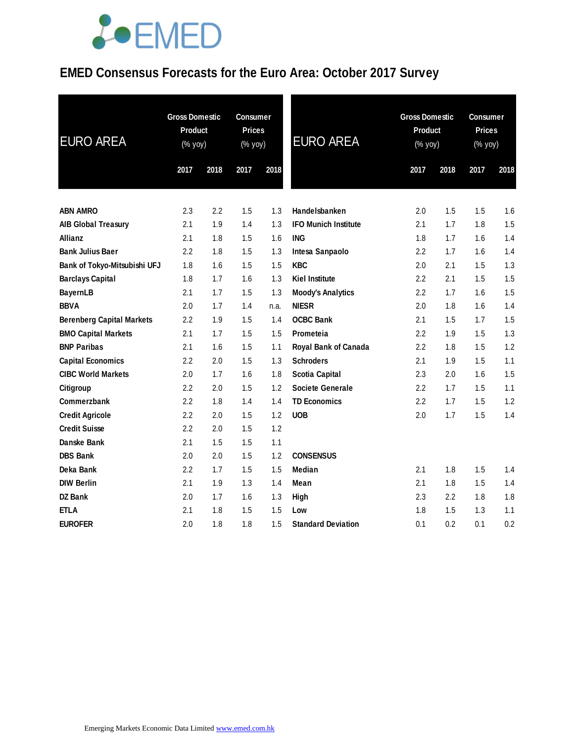## **EMED Consensus Forecasts for the Euro Area: October 2017 Survey**

| <b>EURO AREA</b>                 | <b>Gross Domestic</b><br>Product<br>(% yoy) |      | <b>Consumer</b><br><b>Prices</b><br>(% yoy) |      | <b>EURO AREA</b>            | <b>Gross Domestic</b><br>Product<br>(% yoy) |         | <b>Consumer</b><br><b>Prices</b><br>(% yoy) |      |
|----------------------------------|---------------------------------------------|------|---------------------------------------------|------|-----------------------------|---------------------------------------------|---------|---------------------------------------------|------|
|                                  | 2017                                        | 2018 | 2017                                        | 2018 |                             | 2017                                        | 2018    | 2017                                        | 2018 |
| <b>ABN AMRO</b>                  | 2.3                                         | 2.2  | 1.5                                         | 1.3  | Handelsbanken               | 2.0                                         | 1.5     | 1.5                                         | 1.6  |
| <b>AIB Global Treasury</b>       | 2.1                                         | 1.9  | 1.4                                         | 1.3  | <b>IFO Munich Institute</b> | 2.1                                         | 1.7     | 1.8                                         | 1.5  |
| Allianz                          | 2.1                                         | 1.8  | 1.5                                         | 1.6  | <b>ING</b>                  | 1.8                                         | 1.7     | 1.6                                         | 1.4  |
| <b>Bank Julius Baer</b>          | 2.2                                         | 1.8  | 1.5                                         | 1.3  | Intesa Sanpaolo             | 2.2                                         | 1.7     | 1.6                                         | 1.4  |
| Bank of Tokyo-Mitsubishi UFJ     | 1.8                                         | 1.6  | 1.5                                         | 1.5  | <b>KBC</b>                  | 2.0                                         | 2.1     | 1.5                                         | 1.3  |
| <b>Barclays Capital</b>          | 1.8                                         | 1.7  | 1.6                                         | 1.3  | <b>Kiel Institute</b>       | 2.2                                         | 2.1     | 1.5                                         | 1.5  |
| <b>BayernLB</b>                  | 2.1                                         | 1.7  | 1.5                                         | 1.3  | <b>Moody's Analytics</b>    | 2.2                                         | 1.7     | 1.6                                         | 1.5  |
| <b>BBVA</b>                      | 2.0                                         | 1.7  | 1.4                                         | n.a. | <b>NIESR</b>                | 2.0                                         | 1.8     | 1.6                                         | 1.4  |
| <b>Berenberg Capital Markets</b> | 2.2                                         | 1.9  | 1.5                                         | 1.4  | <b>OCBC Bank</b>            | 2.1                                         | 1.5     | 1.7                                         | 1.5  |
| <b>BMO Capital Markets</b>       | 2.1                                         | 1.7  | 1.5                                         | 1.5  | Prometeia                   | 2.2                                         | 1.9     | 1.5                                         | 1.3  |
| <b>BNP Paribas</b>               | 2.1                                         | 1.6  | 1.5                                         | 1.1  | Royal Bank of Canada        | $2.2\,$                                     | 1.8     | 1.5                                         | 1.2  |
| <b>Capital Economics</b>         | 2.2                                         | 2.0  | 1.5                                         | 1.3  | <b>Schroders</b>            | 2.1                                         | 1.9     | 1.5                                         | 1.1  |
| <b>CIBC World Markets</b>        | 2.0                                         | 1.7  | 1.6                                         | 1.8  | <b>Scotia Capital</b>       | 2.3                                         | 2.0     | 1.6                                         | 1.5  |
| <b>Citigroup</b>                 | 2.2                                         | 2.0  | 1.5                                         | 1.2  | Societe Generale            | 2.2                                         | 1.7     | 1.5                                         | 1.1  |
| <b>Commerzbank</b>               | 2.2                                         | 1.8  | 1.4                                         | 1.4  | <b>TD Economics</b>         | 2.2                                         | 1.7     | 1.5                                         | 1.2  |
| <b>Credit Agricole</b>           | 2.2                                         | 2.0  | 1.5                                         | 1.2  | <b>UOB</b>                  | 2.0                                         | 1.7     | 1.5                                         | 1.4  |
| <b>Credit Suisse</b>             | 2.2                                         | 2.0  | 1.5                                         | 1.2  |                             |                                             |         |                                             |      |
| Danske Bank                      | 2.1                                         | 1.5  | 1.5                                         | 1.1  |                             |                                             |         |                                             |      |
| <b>DBS Bank</b>                  | 2.0                                         | 2.0  | 1.5                                         | 1.2  | <b>CONSENSUS</b>            |                                             |         |                                             |      |
| Deka Bank                        | 2.2                                         | 1.7  | 1.5                                         | 1.5  | <b>Median</b>               | 2.1                                         | 1.8     | 1.5                                         | 1.4  |
| <b>DIW Berlin</b>                | 2.1                                         | 1.9  | 1.3                                         | 1.4  | Mean                        | 2.1                                         | 1.8     | 1.5                                         | 1.4  |
| <b>DZ Bank</b>                   | 2.0                                         | 1.7  | 1.6                                         | 1.3  | High                        | 2.3                                         | $2.2\,$ | 1.8                                         | 1.8  |
| <b>ETLA</b>                      | 2.1                                         | 1.8  | 1.5                                         | 1.5  | Low                         | 1.8                                         | 1.5     | 1.3                                         | 1.1  |
| <b>EUROFER</b>                   | 2.0                                         | 1.8  | 1.8                                         | 1.5  | <b>Standard Deviation</b>   | 0.1                                         | 0.2     | 0.1                                         | 0.2  |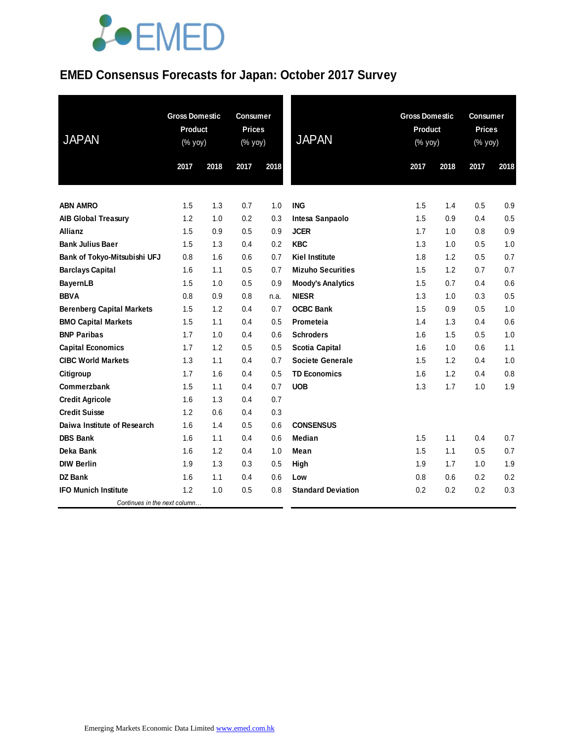## **EMED Consensus Forecasts for Japan: October 2017 Survey**

| <b>JAPAN</b>                     | <b>Gross Domestic</b><br><b>Product</b><br>(% yoy) |      | <b>Consumer</b><br><b>Prices</b><br>(% yoy) |      | <b>JAPAN</b>              | <b>Gross Domestic</b><br><b>Product</b><br>(% yoy) |      | <b>Consumer</b><br><b>Prices</b><br>(% yoy) |      |
|----------------------------------|----------------------------------------------------|------|---------------------------------------------|------|---------------------------|----------------------------------------------------|------|---------------------------------------------|------|
|                                  | 2017                                               | 2018 | 2017                                        | 2018 |                           | 2017                                               | 2018 | 2017                                        | 2018 |
|                                  |                                                    |      |                                             |      |                           |                                                    |      |                                             |      |
| <b>ABN AMRO</b>                  | 1.5                                                | 1.3  | 0.7                                         | 1.0  | <b>ING</b>                | 1.5                                                | 1.4  | 0.5                                         | 0.9  |
| <b>AIB Global Treasury</b>       | 1.2                                                | 1.0  | 0.2                                         | 0.3  | Intesa Sanpaolo           | 1.5                                                | 0.9  | 0.4                                         | 0.5  |
| <b>Allianz</b>                   | 1.5                                                | 0.9  | 0.5                                         | 0.9  | <b>JCER</b>               | 1.7                                                | 1.0  | 0.8                                         | 0.9  |
| <b>Bank Julius Baer</b>          | 1.5                                                | 1.3  | 0.4                                         | 0.2  | <b>KBC</b>                | 1.3                                                | 1.0  | 0.5                                         | 1.0  |
| Bank of Tokyo-Mitsubishi UFJ     | 0.8                                                | 1.6  | 0.6                                         | 0.7  | <b>Kiel Institute</b>     | 1.8                                                | 1.2  | 0.5                                         | 0.7  |
| <b>Barclays Capital</b>          | 1.6                                                | 1.1  | 0.5                                         | 0.7  | <b>Mizuho Securities</b>  | 1.5                                                | 1.2  | 0.7                                         | 0.7  |
| <b>BayernLB</b>                  | 1.5                                                | 1.0  | 0.5                                         | 0.9  | <b>Moody's Analytics</b>  | 1.5                                                | 0.7  | 0.4                                         | 0.6  |
| <b>BBVA</b>                      | 0.8                                                | 0.9  | 0.8                                         | n.a. | <b>NIESR</b>              | 1.3                                                | 1.0  | 0.3                                         | 0.5  |
| <b>Berenberg Capital Markets</b> | 1.5                                                | 1.2  | 0.4                                         | 0.7  | <b>OCBC Bank</b>          | 1.5                                                | 0.9  | 0.5                                         | 1.0  |
| <b>BMO Capital Markets</b>       | 1.5                                                | 1.1  | 0.4                                         | 0.5  | Prometeia                 | 1.4                                                | 1.3  | 0.4                                         | 0.6  |
| <b>BNP Paribas</b>               | 1.7                                                | 1.0  | 0.4                                         | 0.6  | <b>Schroders</b>          | 1.6                                                | 1.5  | 0.5                                         | 1.0  |
| <b>Capital Economics</b>         | 1.7                                                | 1.2  | 0.5                                         | 0.5  | Scotia Capital            | 1.6                                                | 1.0  | 0.6                                         | 1.1  |
| <b>CIBC World Markets</b>        | 1.3                                                | 1.1  | 0.4                                         | 0.7  | <b>Societe Generale</b>   | 1.5                                                | 1.2  | 0.4                                         | 1.0  |
| Citigroup                        | 1.7                                                | 1.6  | 0.4                                         | 0.5  | <b>TD Economics</b>       | 1.6                                                | 1.2  | 0.4                                         | 0.8  |
| Commerzbank                      | 1.5                                                | 1.1  | 0.4                                         | 0.7  | <b>UOB</b>                | 1.3                                                | 1.7  | 1.0                                         | 1.9  |
| <b>Credit Agricole</b>           | 1.6                                                | 1.3  | 0.4                                         | 0.7  |                           |                                                    |      |                                             |      |
| <b>Credit Suisse</b>             | 1.2                                                | 0.6  | 0.4                                         | 0.3  |                           |                                                    |      |                                             |      |
| Daiwa Institute of Research      | 1.6                                                | 1.4  | 0.5                                         | 0.6  | <b>CONSENSUS</b>          |                                                    |      |                                             |      |
| <b>DBS Bank</b>                  | 1.6                                                | 1.1  | 0.4                                         | 0.6  | Median                    | 1.5                                                | 1.1  | 0.4                                         | 0.7  |
| Deka Bank                        | 1.6                                                | 1.2  | 0.4                                         | 1.0  | Mean                      | 1.5                                                | 1.1  | 0.5                                         | 0.7  |
| <b>DIW Berlin</b>                | 1.9                                                | 1.3  | 0.3                                         | 0.5  | High                      | 1.9                                                | 1.7  | 1.0                                         | 1.9  |
| <b>DZ Bank</b>                   | 1.6                                                | 1.1  | 0.4                                         | 0.6  | Low                       | 0.8                                                | 0.6  | 0.2                                         | 0.2  |
| <b>IFO Munich Institute</b>      | 1.2                                                | 1.0  | 0.5                                         | 0.8  | <b>Standard Deviation</b> | 0.2                                                | 0.2  | 0.2                                         | 0.3  |
| Continues in the next column     |                                                    |      |                                             |      |                           |                                                    |      |                                             |      |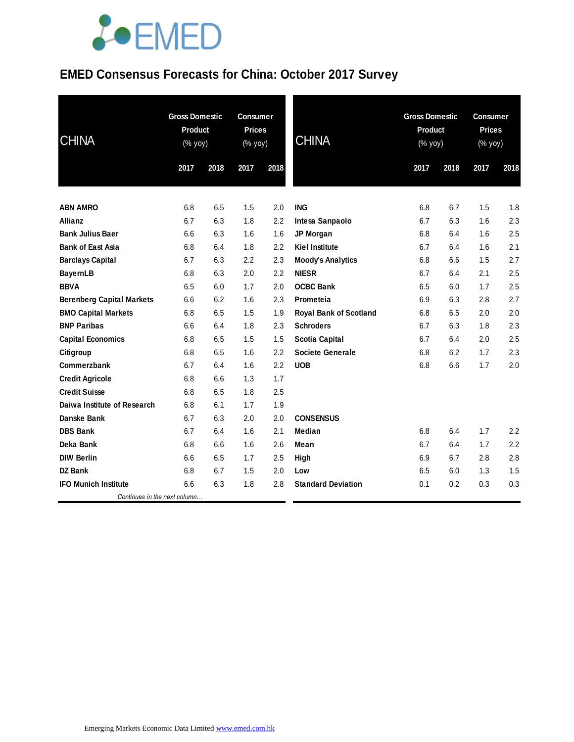### **EMED Consensus Forecasts for China: October 2017 Survey**

| <b>CHINA</b>                     | <b>Gross Domestic</b><br>Product<br>(% yoy) |      | <b>Consumer</b><br><b>Prices</b><br>(% yoy) |      | <b>CHINA</b>                  | <b>Gross Domestic</b><br>Product<br>(% yoy) |      | <b>Consumer</b><br><b>Prices</b><br>$(% \mathsf{Y}\cup \mathsf{Y})$ (% $\mathsf{Y}\cup \mathsf{Y}$ ) |      |
|----------------------------------|---------------------------------------------|------|---------------------------------------------|------|-------------------------------|---------------------------------------------|------|------------------------------------------------------------------------------------------------------|------|
|                                  | 2017                                        | 2018 | 2017                                        | 2018 |                               | 2017                                        | 2018 | 2017                                                                                                 | 2018 |
| <b>ABN AMRO</b>                  | 6.8                                         | 6.5  | 1.5                                         | 2.0  | <b>ING</b>                    | 6.8                                         | 6.7  | 1.5                                                                                                  | 1.8  |
| Allianz                          | 6.7                                         | 6.3  | 1.8                                         | 2.2  | Intesa Sanpaolo               | 6.7                                         | 6.3  | 1.6                                                                                                  | 2.3  |
| <b>Bank Julius Baer</b>          | 6.6                                         | 6.3  | 1.6                                         | 1.6  | JP Morgan                     | 6.8                                         | 6.4  | 1.6                                                                                                  | 2.5  |
| <b>Bank of East Asia</b>         | 6.8                                         | 6.4  | 1.8                                         | 2.2  | <b>Kiel Institute</b>         | 6.7                                         | 6.4  | 1.6                                                                                                  | 2.1  |
| <b>Barclays Capital</b>          | 6.7                                         | 6.3  | 2.2                                         | 2.3  | <b>Moody's Analytics</b>      | 6.8                                         | 6.6  | 1.5                                                                                                  | 2.7  |
| <b>BayernLB</b>                  | 6.8                                         | 6.3  | 2.0                                         | 2.2  | <b>NIESR</b>                  | 6.7                                         | 6.4  | 2.1                                                                                                  | 2.5  |
| <b>BBVA</b>                      | 6.5                                         | 6.0  | 1.7                                         | 2.0  | <b>OCBC Bank</b>              | 6.5                                         | 6.0  | 1.7                                                                                                  | 2.5  |
| <b>Berenberg Capital Markets</b> | 6.6                                         | 6.2  | 1.6                                         | 2.3  | Prometeia                     | 6.9                                         | 6.3  | 2.8                                                                                                  | 2.7  |
| <b>BMO Capital Markets</b>       | 6.8                                         | 6.5  | 1.5                                         | 1.9  | <b>Royal Bank of Scotland</b> | 6.8                                         | 6.5  | 2.0                                                                                                  | 2.0  |
| <b>BNP Paribas</b>               | 6.6                                         | 6.4  | 1.8                                         | 2.3  | <b>Schroders</b>              | 6.7                                         | 6.3  | 1.8                                                                                                  | 2.3  |
| <b>Capital Economics</b>         | 6.8                                         | 6.5  | 1.5                                         | 1.5  | <b>Scotia Capital</b>         | 6.7                                         | 6.4  | 2.0                                                                                                  | 2.5  |
| Citigroup                        | 6.8                                         | 6.5  | 1.6                                         | 2.2  | <b>Societe Generale</b>       | 6.8                                         | 6.2  | 1.7                                                                                                  | 2.3  |
| Commerzbank                      | 6.7                                         | 6.4  | 1.6                                         | 2.2  | <b>UOB</b>                    | 6.8                                         | 6.6  | 1.7                                                                                                  | 2.0  |
| <b>Credit Agricole</b>           | 6.8                                         | 6.6  | 1.3                                         | 1.7  |                               |                                             |      |                                                                                                      |      |
| <b>Credit Suisse</b>             | 6.8                                         | 6.5  | 1.8                                         | 2.5  |                               |                                             |      |                                                                                                      |      |
| Daiwa Institute of Research      | 6.8                                         | 6.1  | 1.7                                         | 1.9  |                               |                                             |      |                                                                                                      |      |
| Danske Bank                      | 6.7                                         | 6.3  | 2.0                                         | 2.0  | <b>CONSENSUS</b>              |                                             |      |                                                                                                      |      |
| <b>DBS Bank</b>                  | 6.7                                         | 6.4  | 1.6                                         | 2.1  | <b>Median</b>                 | 6.8                                         | 6.4  | 1.7                                                                                                  | 2.2  |
| Deka Bank                        | 6.8                                         | 6.6  | 1.6                                         | 2.6  | Mean                          | 6.7                                         | 6.4  | 1.7                                                                                                  | 2.2  |
| <b>DIW Berlin</b>                | 6.6                                         | 6.5  | 1.7                                         | 2.5  | High                          | 6.9                                         | 6.7  | 2.8                                                                                                  | 2.8  |
| <b>DZ Bank</b>                   | 6.8                                         | 6.7  | 1.5                                         | 2.0  | Low                           | 6.5                                         | 6.0  | 1.3                                                                                                  | 1.5  |
| <b>IFO Munich Institute</b>      | 6.6                                         | 6.3  | 1.8                                         | 2.8  | <b>Standard Deviation</b>     | 0.1                                         | 0.2  | 0.3                                                                                                  | 0.3  |
| Continues in the next column     |                                             |      |                                             |      |                               |                                             |      |                                                                                                      |      |